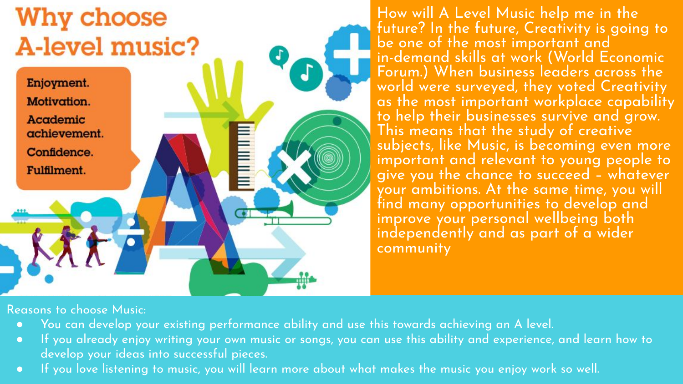# **Why choose** A-level music?



How will A Level Music help me in the future? In the future, Creativity is going to be one of the most important and in-demand skills at work (World Economic Forum.) When business leaders across the world were surveyed, they voted Creativity as the most important workplace capability to help their businesses survive and grow. This means that the study of creative subjects, like Music, is becoming even more important and relevant to young people to give you the chance to succeed – whatever your ambitions. At the same time, you will find many opportunities to develop and improve your personal wellbeing both independently and as part of a wider community

Reasons to choose Music:

- You can develop your existing performance ability and use this towards achieving an A level.
- If you already enjoy writing your own music or songs, you can use this ability and experience, and learn how to develop your ideas into successful pieces.
- If you love listening to music, you will learn more about what makes the music you enjoy work so well.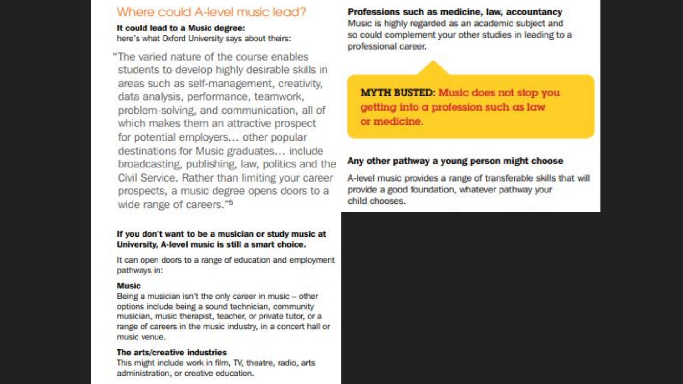#### Where could A-level music lead?

It could lead to a Music degree: here's what Oxford University says about theirs:

"The varied nature of the course enables students to develop highly desirable skills in areas such as self-management, creativity, data analysis, performance, teamwork, problem-solving, and communication, all of which makes them an attractive prospect for potential employers... other popular destinations for Music graduates... include broadcasting, publishing, law, politics and the Civil Service, Rather than limiting your career prospects, a music degree opens doors to a wide range of careers."<sup>5</sup>

#### If you don't want to be a musician or study music at University, A-level music is still a smart choice.

It can open doors to a range of education and employment pathways in:

#### Music

Being a musician isn't the only career in music - other options include being a sound technician, community musician, music therapist, teacher, or private tutor, or a range of careers in the music industry, in a concert hall or music venue.

#### The arts/creative industries

This might include work in film, TV, theatre, radio, arts administration, or creative education.

Professions such as medicine, law, accountancy Music is highly regarded as an academic subject and so could complement your other studies in leading to a professional career.

**MYTH BUSTED:** Music does not stop you getting into a profession such as law or medicine.

#### Any other pathway a young person might choose

A-level music provides a range of transferable skills that will provide a good foundation, whatever pathway your child chooses.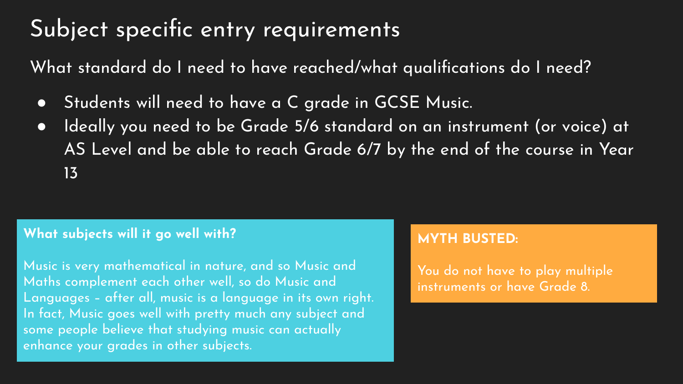# Subject specific entry requirements

What standard do I need to have reached/what qualifications do I need?

- Students will need to have a C grade in GCSE Music.
- Ideally you need to be Grade 5/6 standard on an instrument (or voice) at AS Level and be able to reach Grade 6/7 by the end of the course in Year 13

# **What subjects will it go well with?**

Music is very mathematical in nature, and so Music and Maths complement each other well, so do Music and Languages – after all, music is a language in its own right. In fact, Music goes well with pretty much any subject and some people believe that studying music can actually enhance your grades in other subjects.

# **MYTH BUSTED:**

You do not have to play multiple instruments or have Grade 8.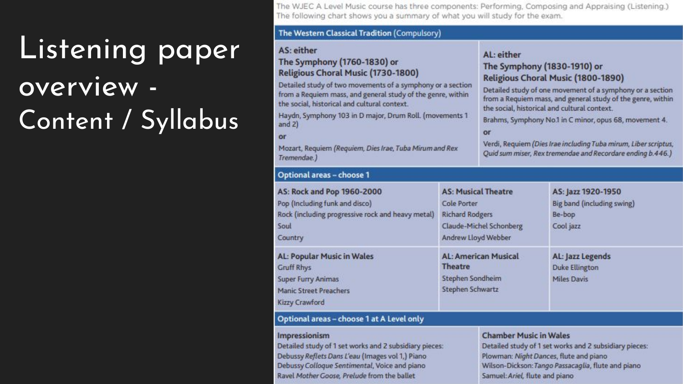# Listening paper overview -Content / Syllabus

The WJEC A Level Music course has three components: Performing, Composing and Appraising (Listening.) The following chart shows you a summary of what you will study for the exam.

#### The Western Classical Tradition (Compulsory)

#### AS: either

The Symphony (1760-1830) or Religious Choral Music (1730-1800)

Detailed study of two movements of a symphony or a section from a Requiem mass, and general study of the genre, within the social, historical and cultural context.

Haydn, Symphony 103 in D major, Drum Roll. (movements 1 and  $2)$ 

or

A P  $rac{R_0}{S_0}$ 

 $\epsilon$  $\overline{A}$ 

N N C

Ki

Mozart, Requiem (Requiem, Dies Irae, Tuba Mirum and Rex Tremendae.)

#### AL: either

#### The Symphony (1830-1910) or Religious Choral Music (1800-1890)

Detailed study of one movement of a symphony or a section from a Requiem mass, and general study of the genre, within the social, historical and cultural context.

Brahms, Symphony No.1 in C minor, opus 68, movement 4.

#### or

Verdi, Requiem (Dies Irae including Tuba mirum, Liber scriptus, Quid sum miser, Rex tremendae and Recordare ending b.446.)

| ptional areas – choose 1                                                                                                             |                                                                                                                              |                                                                         |  |
|--------------------------------------------------------------------------------------------------------------------------------------|------------------------------------------------------------------------------------------------------------------------------|-------------------------------------------------------------------------|--|
| S: Rock and Pop 1960-2000<br>p (Including funk and disco)<br>ock (including progressive rock and heavy metal)<br>хut<br><b>untry</b> | <b>AS: Musical Theatre</b><br><b>Cole Porter</b><br><b>Richard Rodgers</b><br>Claude-Michel Schonberg<br>Andrew Lloyd Webber | AS: Jazz 1920-1950<br>Big band (including swing)<br>Be-bop<br>Cool jazz |  |
| L: Popular Music in Wales<br>ruff Rhys<br>Iper Furry Animas<br>anic Street Preachers<br>zzy Crawford                                 | <b>AL: American Musical</b><br>Theatre<br>Stephen Sondheim<br>Stephen Schwartz                                               | AL: Jazz Legends<br><b>Duke Ellington</b><br><b>Miles Davis</b>         |  |

#### Optional areas - choose 1 at A Level only

#### Impressionism

Detailed study of 1 set works and 2 subsidiary pieces: Debussy Reflets Dans L'eau (Images vol 1,) Piano Debussy Colloque Sentimental, Voice and piano Ravel Mother Goose, Prelude from the ballet

#### **Chamber Music in Wales**

Detailed study of 1 set works and 2 subsidiary pieces: Plowman: Night Dances, flute and piano Wilson-Dickson: Tango Passacaglia, flute and piano Samuel: Ariel, flute and piano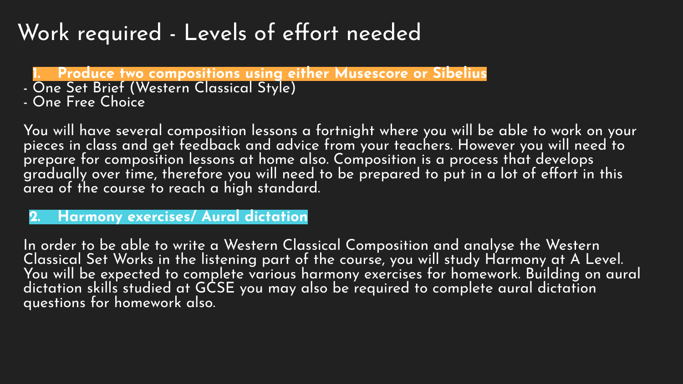# Work required - Levels of effort needed

**1. Produce two compositions using either Musescore or Sibelius**

- One Set Brief (Western Classical Style)
- One Free Choice

You will have several composition lessons a fortnight where you will be able to work on your pieces in class and get feedback and advice from your teachers. However you will need to prepare for composition lessons at home also. Composition is a process that develops gradually over time, therefore you will need to be prepared to put in a lot of effort in this area of the course to reach a high standard.

**2. Harmony exercises/ Aural dictation**

In order to be able to write a Western Classical Composition and analyse the Western Classical Set Works in the listening part of the course, you will study Harmony at A Level. You will be expected to complete various harmony exercises for homework. Building on aural dictation skills studied at GCSE you may also be required to complete aural dictation questions for homework also.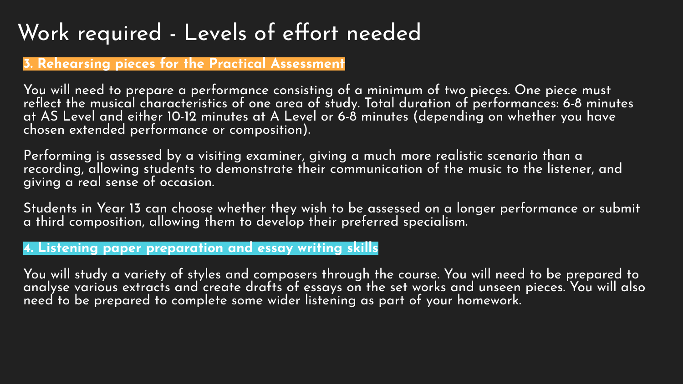# Work required - Levels of effort needed

# **3. Rehearsing pieces for the Practical Assessment**

You will need to prepare a performance consisting of a minimum of two pieces. One piece must reflect the musical characteristics of one area of study. Total duration of performances: 6-8 minutes at AS Level and either 10-12 minutes at A Level or 6-8 minutes (depending on whether you have chosen extended performance or composition).

Performing is assessed by a visiting examiner, giving a much more realistic scenario than a recording, allowing students to demonstrate their communication of the music to the listener, and giving a real sense of occasion.

Students in Year 13 can choose whether they wish to be assessed on a longer performance or submit a third composition, allowing them to develop their preferred specialism.

### **4. Listening paper preparation and essay writing skills**

You will study a variety of styles and composers through the course. You will need to be prepared to analyse various extracts and create drafts of essays on the set works and unseen pieces. You will also need to be prepared to complete some wider listening as part of your homework.